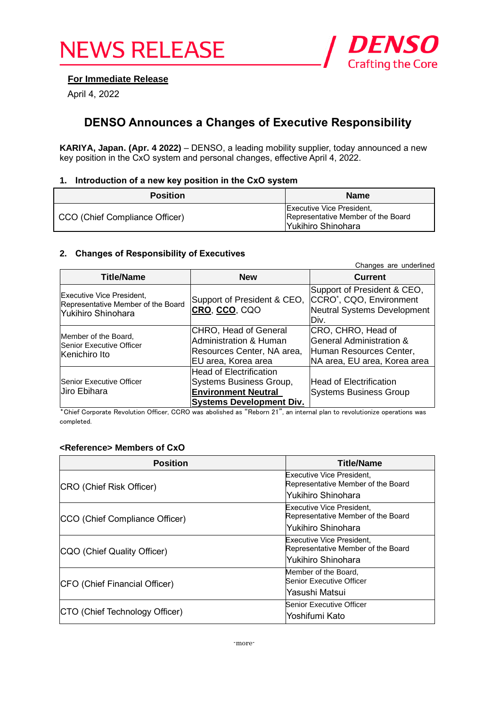

# **For Immediate Release**

April 4, 2022

# **DENSO Announces a Changes of Executive Responsibility**

**KARIYA, Japan. (Apr. 4 2022)** – DENSO, a leading mobility supplier, today announced a new key position in the CxO system and personal changes, effective April 4, 2022.

### **1. Introduction of a new key position in the CxO system**

| <b>Position</b>                | <b>Name</b>                                                                                          |
|--------------------------------|------------------------------------------------------------------------------------------------------|
| CCO (Chief Compliance Officer) | <b>Executive Vice President,</b><br>Representative Member of the Board<br><b>IYukihiro Shinohara</b> |

#### **2. Changes of Responsibility of Executives**

| Changes are underlined                                                                 |                                                                                                                            |                                                                                                            |  |
|----------------------------------------------------------------------------------------|----------------------------------------------------------------------------------------------------------------------------|------------------------------------------------------------------------------------------------------------|--|
| <b>Title/Name</b>                                                                      | <b>New</b>                                                                                                                 | <b>Current</b>                                                                                             |  |
| Executive Vice President,<br>Representative Member of the Board<br>lYukihiro Shinohara | Support of President & CEO,<br>CRO, CCO, CQO                                                                               | Support of President & CEO,<br>CCRO <sup>*</sup> , CQO, Environment<br>Neutral Systems Development<br>Div. |  |
| Member of the Board,<br>Senior Executive Officer<br>Kenichiro Ito                      | CHRO, Head of General<br><b>Administration &amp; Human</b><br>Resources Center, NA area,<br>EU area, Korea area            | CRO, CHRO, Head of<br>General Administration &<br>Human Resources Center,<br>NA area, EU area, Korea area  |  |
| Senior Executive Officer<br>Uiro Ebihara                                               | <b>Head of Electrification</b><br>Systems Business Group,<br><b>Environment Neutral</b><br><b>Systems Development Div.</b> | <b>Head of Electrification</b><br><b>Systems Business Group</b>                                            |  |

\*Chief Corporate Revolution Officer, CCRO was abolished as "Reborn 21", an internal plan to revolutionize operations was completed.

## **<Reference> Members of CxO**

| <b>Position</b>                | <b>Title/Name</b>                                                      |
|--------------------------------|------------------------------------------------------------------------|
| CRO (Chief Risk Officer)       | <b>Executive Vice President,</b><br>Representative Member of the Board |
|                                | lYukihiro Shinohara                                                    |
| CCO (Chief Compliance Officer) | <b>Executive Vice President,</b><br>Representative Member of the Board |
|                                | lYukihiro Shinohara                                                    |
| CQO (Chief Quality Officer)    | Executive Vice President,<br>Representative Member of the Board        |
|                                | lYukihiro Shinohara                                                    |
| CFO (Chief Financial Officer)  | Member of the Board,<br>Senior Executive Officer                       |
|                                | Yasushi Matsui                                                         |
|                                | Senior Executive Officer                                               |
| CTO (Chief Technology Officer) | Yoshifumi Kato                                                         |